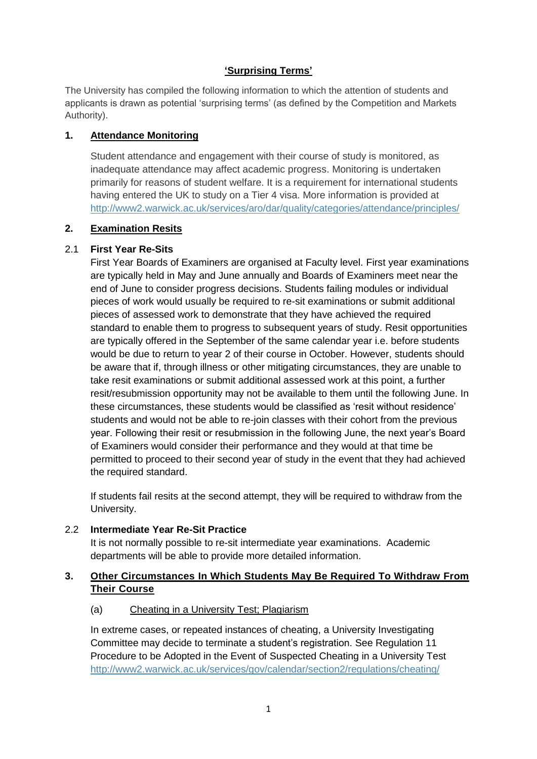### **'Surprising Terms'**

The University has compiled the following information to which the attention of students and applicants is drawn as potential 'surprising terms' (as defined by the Competition and Markets Authority).

### **1. Attendance Monitoring**

Student attendance and engagement with their course of study is monitored, as inadequate attendance may affect academic progress. Monitoring is undertaken primarily for reasons of student welfare. It is a requirement for international students having entered the UK to study on a Tier 4 visa. More information is provided at <http://www2.warwick.ac.uk/services/aro/dar/quality/categories/attendance/principles/>

## **2. Examination Resits**

## 2.1 **First Year Re-Sits**

First Year Boards of Examiners are organised at Faculty level. First year examinations are typically held in May and June annually and Boards of Examiners meet near the end of June to consider progress decisions. Students failing modules or individual pieces of work would usually be required to re-sit examinations or submit additional pieces of assessed work to demonstrate that they have achieved the required standard to enable them to progress to subsequent years of study. Resit opportunities are typically offered in the September of the same calendar year i.e. before students would be due to return to year 2 of their course in October. However, students should be aware that if, through illness or other mitigating circumstances, they are unable to take resit examinations or submit additional assessed work at this point, a further resit/resubmission opportunity may not be available to them until the following June. In these circumstances, these students would be classified as 'resit without residence' students and would not be able to re-join classes with their cohort from the previous year. Following their resit or resubmission in the following June, the next year's Board of Examiners would consider their performance and they would at that time be permitted to proceed to their second year of study in the event that they had achieved the required standard.

If students fail resits at the second attempt, they will be required to withdraw from the University.

### 2.2 **Intermediate Year Re-Sit Practice**

It is not normally possible to re-sit intermediate year examinations. Academic departments will be able to provide more detailed information.

## **3. Other Circumstances In Which Students May Be Required To Withdraw From Their Course**

### (a) Cheating in a University Test; Plagiarism

In extreme cases, or repeated instances of cheating, a University Investigating Committee may decide to terminate a student's registration. See Regulation 11 Procedure to be Adopted in the Event of Suspected Cheating in a University Test <http://www2.warwick.ac.uk/services/gov/calendar/section2/regulations/cheating/>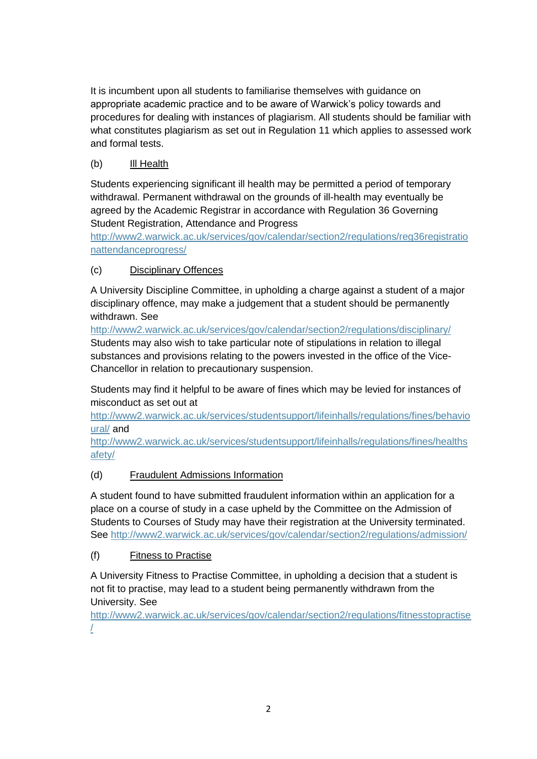It is incumbent upon all students to familiarise themselves with guidance on appropriate academic practice and to be aware of Warwick's policy towards and procedures for dealing with instances of plagiarism. All students should be familiar with what constitutes plagiarism as set out in Regulation 11 which applies to assessed work and formal tests.

# (b) Ill Health

Students experiencing significant ill health may be permitted a period of temporary withdrawal. Permanent withdrawal on the grounds of ill-health may eventually be agreed by the Academic Registrar in accordance with Regulation 36 Governing Student Registration, Attendance and Progress

[http://www2.warwick.ac.uk/services/gov/calendar/section2/regulations/reg36registratio](http://www2.warwick.ac.uk/services/gov/calendar/section2/regulations/reg36registrationattendanceprogress/) [nattendanceprogress/](http://www2.warwick.ac.uk/services/gov/calendar/section2/regulations/reg36registrationattendanceprogress/)

## (c) Disciplinary Offences

A University Discipline Committee, in upholding a charge against a student of a major disciplinary offence, may make a judgement that a student should be permanently withdrawn. See

<http://www2.warwick.ac.uk/services/gov/calendar/section2/regulations/disciplinary/> Students may also wish to take particular note of stipulations in relation to illegal substances and provisions relating to the powers invested in the office of the Vice-Chancellor in relation to precautionary suspension.

Students may find it helpful to be aware of fines which may be levied for instances of misconduct as set out at

[http://www2.warwick.ac.uk/services/studentsupport/lifeinhalls/regulations/fines/behavio](http://www2.warwick.ac.uk/services/studentsupport/lifeinhalls/regulations/fines/behavioural/) [ural/](http://www2.warwick.ac.uk/services/studentsupport/lifeinhalls/regulations/fines/behavioural/) and

[http://www2.warwick.ac.uk/services/studentsupport/lifeinhalls/regulations/fines/healths](http://www2.warwick.ac.uk/services/studentsupport/lifeinhalls/regulations/fines/healthsafety/) [afety/](http://www2.warwick.ac.uk/services/studentsupport/lifeinhalls/regulations/fines/healthsafety/)

## (d) Fraudulent Admissions Information

A student found to have submitted fraudulent information within an application for a place on a course of study in a case upheld by the Committee on the Admission of Students to Courses of Study may have their registration at the University terminated. See<http://www2.warwick.ac.uk/services/gov/calendar/section2/regulations/admission/>

## (f) Fitness to Practise

A University Fitness to Practise Committee, in upholding a decision that a student is not fit to practise, may lead to a student being permanently withdrawn from the University. See

[http://www2.warwick.ac.uk/services/gov/calendar/section2/regulations/fitnesstopractise](http://www2.warwick.ac.uk/services/gov/calendar/section2/regulations/fitnesstopractise/) [/](http://www2.warwick.ac.uk/services/gov/calendar/section2/regulations/fitnesstopractise/)